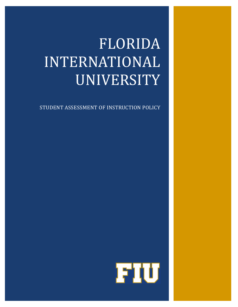## FLORIDA INTERNATIONAL UNIVERSITY

STUDENT ASSESSMENT OF INSTRUCTION POLICY

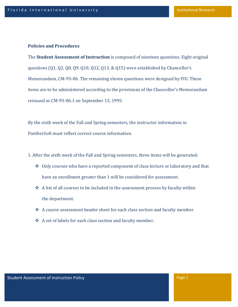## **Policies and Procedures**

The **Student Assessment of Instruction** is composed of nineteen questions. Eight original questions (Q1, Q2, Q8, Q9, Q10, Q12, Q13, & Q15) were established by Chancellor's Memorandum, CM-95-06. The remaining eleven questions were designed by FIU. These items are to be administered according to the provisions of the Chancellor's Memorandum reissued as CM-95-06.1 on September 13, 1995.

By the sixth week of the Fall and Spring semesters, the instructor information in PantherSoft must reflect correct course information.

- 1. After the sixth week of the Fall and Spring semesters, three items will be generated:
	- ◆ Only courses who have a reported component of class lecture or laboratory and that have an enrollment greater than 1 will be considered for assessment.
	- $\triangle$  A list of all courses to be included in the assessment process by faculty within the department.
	- A course assessment header sheet for each class section and faculty member
	- A set of labels for each class section and faculty member.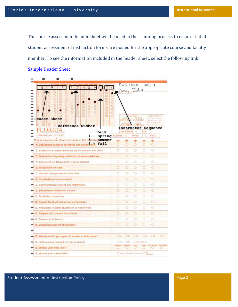The course assessment header sheet will be used in the scanning process to ensure that all student assessment of instruction forms are posted for the appropriate course and faculty member. To see the information included in the header sheet, select the following link: Sample Header Sheet

| m                                                                                                                                            |                             |                 |                                  |                |                                            |
|----------------------------------------------------------------------------------------------------------------------------------------------|-----------------------------|-----------------|----------------------------------|----------------|--------------------------------------------|
| n<br>$\mathsf H$<br>H<br>4<br>$\circ$<br>H<br>T<br>5<br>$\mathbf{I}$<br>$\ddot{\mathcal{L}}$<br>3                                            |                             | <b>SLS 1500</b> |                                  |                | sec.1                                      |
| ⊚<br>$^{\circ}$<br>ු<br>Ο                                                                                                                    |                             |                 | Doe, John                        |                |                                            |
| $\circledcirc \circledcirc \circledcirc$<br>999<br>$\bar{e}$<br>$\odot$<br>$^{\circ}$<br>$\odot$<br>۰                                        | Θ                           |                 |                                  |                |                                            |
| 9000                                                                                                                                         |                             |                 |                                  |                |                                            |
| $^{\circ}$                                                                                                                                   |                             |                 |                                  |                |                                            |
| 0000000<br>0000000<br>000000<br>000000<br>00000<br>99999<br>$\circledR$                                                                      | $\odot\odot\odot\odot\odot$ |                 | <b>KAMPLES</b>                   |                | <b>NSTRUCTIONS</b>                         |
| <b>Header</b> Sheet                                                                                                                          |                             | <b>DEVOX</b>    | 000000                           |                | Line or Nov. 2 memoid<br>Do NOT and a pen- |
| $(\mathbf{u})$<br><b>Reference Number</b>                                                                                                    |                             |                 |                                  |                | <b>Instructor Sequence</b>                 |
| Term                                                                                                                                         |                             | Very Good       |                                  | Fair           |                                            |
| INTERNATIONAL UNIVERSITY<br><b>Spring Excellent</b><br>1                                                                                     |                             |                 | Good                             |                | Poor                                       |
| Please assess your class instructor in the followingSummer<br>1. Description of course objectives and assign $g_{\text{enfs}}$ $\text{Fall}$ | $\odot$                     |                 | О                                | О              | O                                          |
|                                                                                                                                              | Ō                           | Ō               | O                                | ٥              | o                                          |
| 2. Expression of expectations for performance in this class                                                                                  | Ω                           | Ω               | $\circ$                          | $\circ$        | Ō                                          |
| 3. Description of grading policies in the course syllabus                                                                                    |                             |                 |                                  | O              | O.                                         |
| 4. Consistency in following the course syllabus.                                                                                             | O                           | 0               | O                                |                |                                            |
| 5. Preparation for class                                                                                                                     | $\Omega$                    | $\circ$         | $\odot$                          | Ο              | $\circ$                                    |
| 6. Use and management of class time                                                                                                          | O                           | $\circ$         | O                                | $\circ$        | Ō                                          |
| 7. Knowledge of course content                                                                                                               | $\circ$                     | $\circ$         | $\circ$                          | $\circ$        | $\circ$                                    |
| 8. Communication of ideas and information                                                                                                    | Ō                           | o               | Ō                                | O              | ō                                          |
| 9. Stimulation of interest in course                                                                                                         | $\odot$                     | $\circ$         | $\circ$                          | o              | O                                          |
| 10. Facilitation of learning                                                                                                                 | o                           | ٥               | o                                | O              | o                                          |
| 11. Provide feedback about your performance                                                                                                  | O                           | O               | O                                | O              | O                                          |
| 12. Availability to assist students in or out of class                                                                                       | O                           | 0               | $\circ$                          | $\circ$        | o                                          |
| 13. Respect and concern for students                                                                                                         | O                           | Ō               | ٥                                | $\circ$        | O                                          |
| 14. Fairness of instructor                                                                                                                   | o                           | o               | O                                | O              | O                                          |
| 15. Overall assessment of instructor                                                                                                         | $\circ$                     | $\circ$         | Ó                                | $\circ$        | $\odot$                                    |
|                                                                                                                                              | OA                          | $\bigcirc$ a    | $\odot$ c                        | O <sup>2</sup> | Öŧ<br>OР                                   |
| 16. What grade do you expect to receive in this course?                                                                                      | $O$ Yes                     | <b>C</b> yNa    | ONat Applicable                  |                |                                            |
| 17. Is this course required for your program?                                                                                                |                             |                 |                                  |                |                                            |
| 18. What is your class level?                                                                                                                |                             |                 |                                  |                |                                            |
| 19. What is your current GPA?                                                                                                                |                             |                 | ○30-40 ○20-28 ○10-19 ○ Noticente |                |                                            |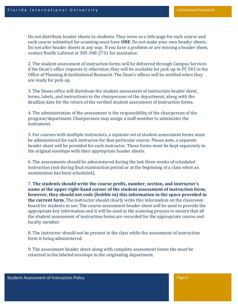Do not distribute header sheets to students. They serve as a title page for each course and each course submitted for scanning must have **ONE**. Do not make your own header sheets. Do not alter header sheets in any way. If you have a problem or are missing a header sheet, contact Noelle Laforest at 305-348-2731 for assistance.

2. The student assessment of instruction forms will be delivered through Campus Services if the Dean's office requests it; otherwise, they will be available for pick-up in PC 543 in the Office of Planning & Institutional Research. The Dean's offices will be notified when they are ready for pick-up.

3. The Deans office will distribute the student assessment of instruction header sheet, forms, labels, and instructions to the chairpersons of the department, along with the deadline date for the return of the verified student assessment of instruction forms.

4. The administration of the assessment is the responsibility of the chairperson of the program/department. Chairpersons may assign a staff member to administer the instrument.

5. For courses with multiple instructors, a separate set of student assessment forms must be administered for each instructor for that particular course. Please note, a separate header sheet will be provided for each instructor. These forms must be kept separately in the original envelope with their appropriate header sheets.

6. The assessments should be administered during the last three weeks of scheduled instruction (not during final examination period or at the beginning of a class when an examination has been scheduled).

7. **The students should write the course prefix, number, section, and instructor's name at the upper right-hand corner of the student assessment of instruction form; however, they should not code (bubble in) this information in the space provided in the current form.** The instructor should clearly write this information on the classroom board for students to see. The course assessment header sheet will be used to provide the appropriate key information and it will be used in the scanning process to ensure that all the student assessment of instruction forms are recorded for the appropriate course and faculty member.

8. The instructor should not be present in the class while the assessment of instruction form is being administered.

9. The assessment header sheet along with complete assessment forms the must be returned in the labeled envelope to the originating department.